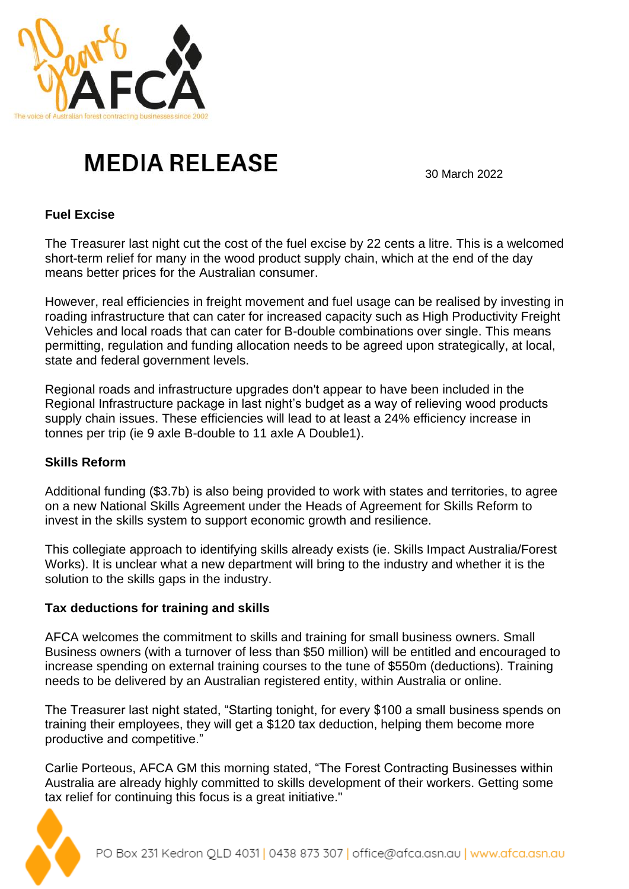

## **MEDIA RELEASE**

30 March 2022

## **Fuel Excise**

The Treasurer last night cut the cost of the fuel excise by 22 cents a litre. This is a welcomed short-term relief for many in the wood product supply chain, which at the end of the day means better prices for the Australian consumer.

However, real efficiencies in freight movement and fuel usage can be realised by investing in roading infrastructure that can cater for increased capacity such as High Productivity Freight Vehicles and local roads that can cater for B-double combinations over single. This means permitting, regulation and funding allocation needs to be agreed upon strategically, at local, state and federal government levels.

Regional roads and infrastructure upgrades don't appear to have been included in the Regional Infrastructure package in last night's budget as a way of relieving wood products supply chain issues. These efficiencies will lead to at least a 24% efficiency increase in tonnes per trip (ie 9 axle B-double to 11 axle A Double1).

## **Skills Reform**

Additional funding (\$3.7b) is also being provided to work with states and territories, to agree on a new National Skills Agreement under the Heads of Agreement for Skills Reform to invest in the skills system to support economic growth and resilience.

This collegiate approach to identifying skills already exists (ie. Skills Impact Australia/Forest Works). It is unclear what a new department will bring to the industry and whether it is the solution to the skills gaps in the industry.

## **Tax deductions for training and skills**

AFCA welcomes the commitment to skills and training for small business owners. Small Business owners (with a turnover of less than \$50 million) will be entitled and encouraged to increase spending on external training courses to the tune of \$550m (deductions). Training needs to be delivered by an Australian registered entity, within Australia or online.

The Treasurer last night stated, "Starting tonight, for every \$100 a small business spends on training their employees, they will get a \$120 tax deduction, helping them become more productive and competitive."

Carlie Porteous, AFCA GM this morning stated, "The Forest Contracting Businesses within Australia are already highly committed to skills development of their workers. Getting some tax relief for continuing this focus is a great initiative."